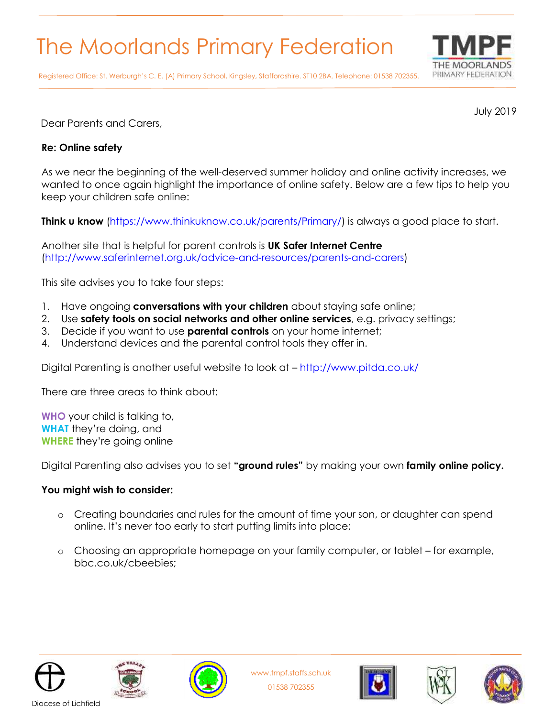## The Moorlands Primary Federation



Registered Office: St. Werburgh's C. E. (A) Primary School, Kingsley, Staffordshire. ST10 2BA. Telephone: 01538 702355.

July 2019

Dear Parents and Carers,

## **Re: Online safety**

As we near the beginning of the well-deserved summer holiday and online activity increases, we wanted to once again highlight the importance of online safety. Below are a few tips to help you keep your children safe online:

**Think u know** (https://www.thinkuknow.co.uk/parents/Primary/) is always a good place to start.

Another site that is helpful for parent controls is **UK Safer Internet Centre**  (http://www.saferinternet.org.uk/advice-and-resources/parents-and-carers)

This site advises you to take four steps:

- 1. Have ongoing **conversations with your children** about staying safe online;
- 2. Use **safety tools on social networks and other online services**, e.g. privacy settings;
- 3. Decide if you want to use **parental controls** on your home internet;
- 4. Understand devices and the parental control tools they offer in.

Digital Parenting is another useful website to look at – http://www.pitda.co.uk/

There are three areas to think about:

**WHO** your child is talking to, **WHAT** they're doing, and **WHERE** they're going online

Digital Parenting also advises you to set **"ground rules"** by making your own **family online policy.** 

## **You might wish to consider:**

- o Creating boundaries and rules for the amount of time your son, or daughter can spend online. It's never too early to start putting limits into place;
- Choosing an appropriate homepage on your family computer, or tablet for example, bbc.co.uk/cbeebies;